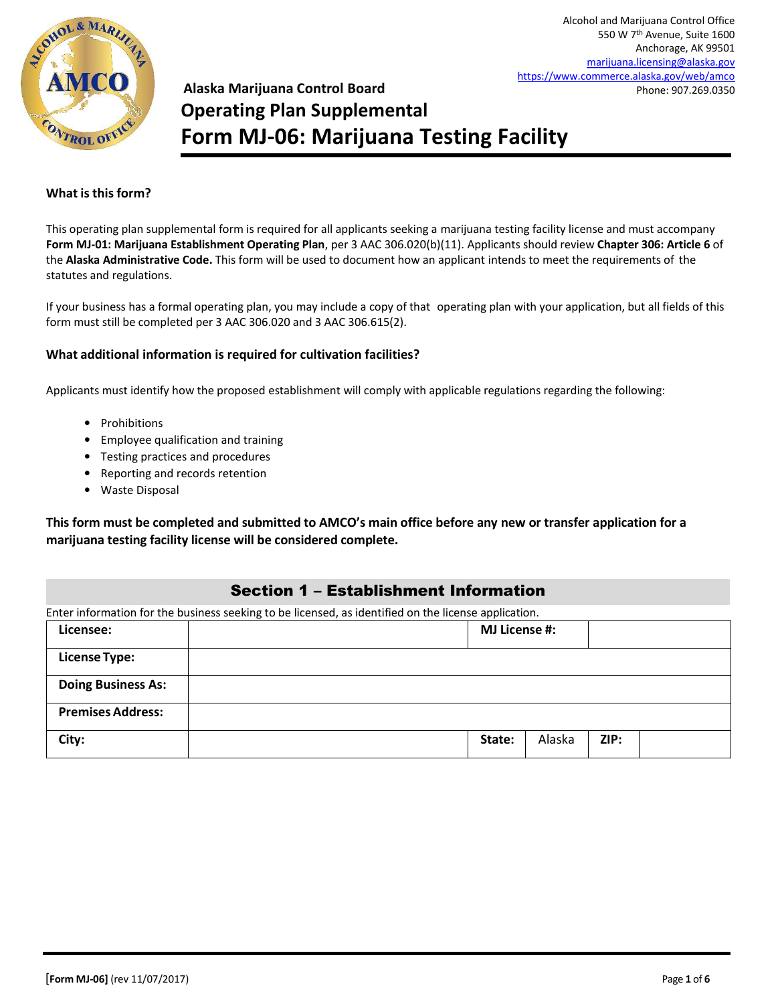

# **Alaska Marijuana Control Board Operating Plan Supplemental Form MJ-06: Marijuana Testing Facility**

#### **What is this form?**

This operating plan supplemental form is required for all applicants seeking a marijuana testing facility license and must accompany **Form MJ-01: Marijuana Establishment Operating Plan**, per 3 AAC 306.020(b)(11). Applicants should review **Chapter 306: Article 6** of the **Alaska Administrative Code.** This form will be used to document how an applicant intends to meet the requirements of the statutes and regulations.

If your business has a formal operating plan, you may include a copy of that operating plan with your application, but all fields of this form must still be completed per 3 AAC 306.020 and 3 AAC 306.615(2).

#### **What additional information is required for cultivation facilities?**

Applicants must identify how the proposed establishment will comply with applicable regulations regarding the following:

- Prohibitions
- Employee qualification and training
- Testing practices and procedures
- Reporting and records retention
- Waste Disposal

**This form must be completed and submitted to AMCO's main office before any new or transfer application for a marijuana testing facility license will be considered complete.**

### Section 1 – Establishment Information

Enter information for the business seeking to be licensed, as identified on the license application.

| Licensee:                 | <b>MJ License #:</b>     |
|---------------------------|--------------------------|
| <b>License Type:</b>      |                          |
| <b>Doing Business As:</b> |                          |
| <b>Premises Address:</b>  |                          |
| City:                     | Alaska<br>ZIP:<br>State: |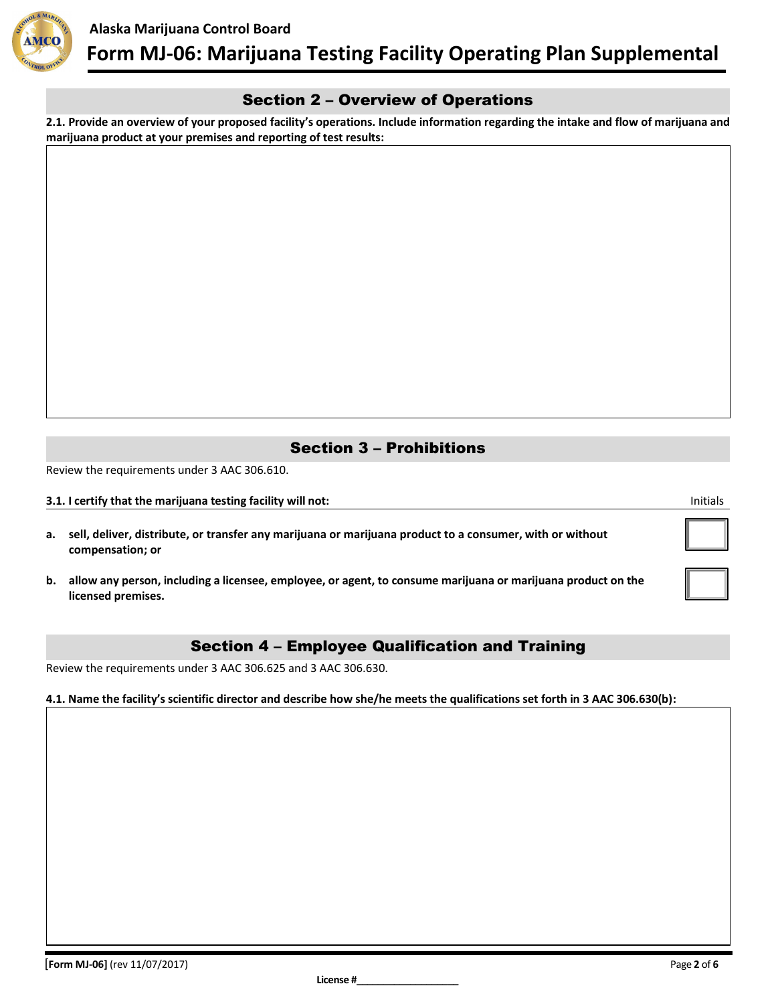

### Section 2 – Overview of Operations

**2.1. Provide an overview of your proposed facility's operations. Include information regarding the intake and flow of marijuana and marijuana product at your premises and reporting of test results:**

### Section 3 – Prohibitions

Review the requirements under 3 AAC 306.610.

**3.1. I certify that the marijuana testing facility will not:** Initials and Initials and Initials and Initials and Initials and Initials and Initials and Initials and Initials and Initials and Initials and Initials and Ini

- **a. sell, deliver, distribute, or transfer any marijuana or marijuana product to a consumer, with or without compensation; or**
- **b. allow any person, including a licensee, employee, or agent, to consume marijuana or marijuana product on the licensed premises.**

### Section 4 – Employee Qualification and Training

Review the requirements under 3 AAC 306.625 and 3 AAC 306.630.

**4.1. Name the facility's scientific director and describe how she/he meets the qualifications set forth in 3 AAC 306.630(b):**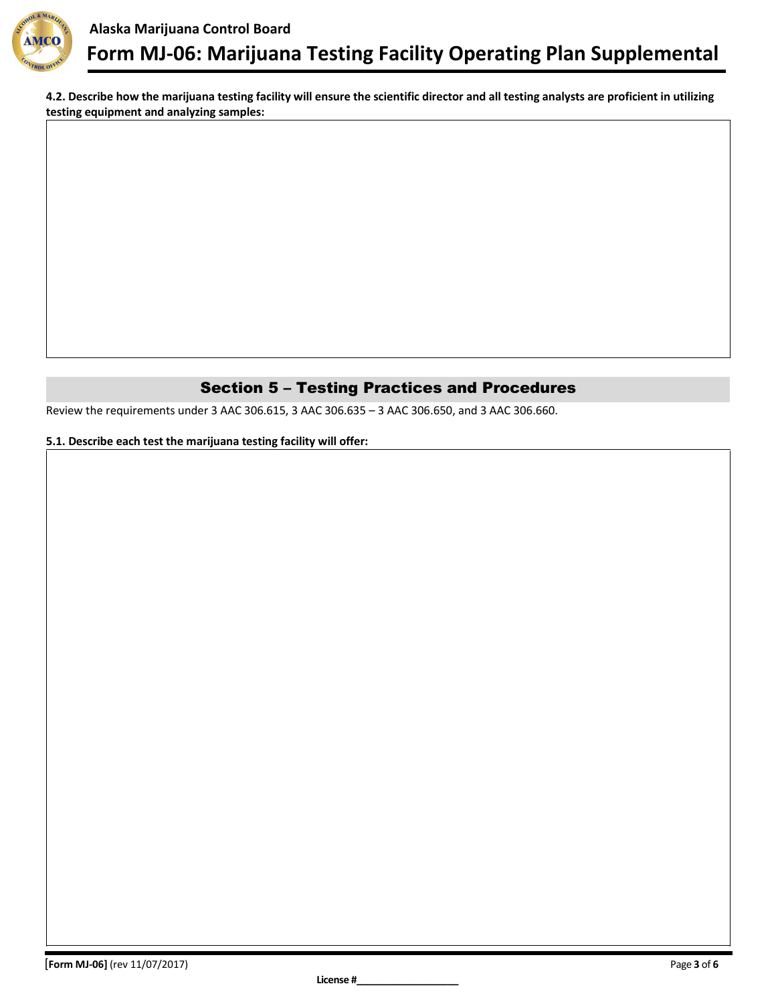

**4.2. Describe how the marijuana testing facility will ensure the scientific director and all testing analysts are proficient in utilizing testing equipment and analyzing samples:**

## Section 5 – Testing Practices and Procedures

Review the requirements under 3 AAC 306.615, 3 AAC 306.635 – 3 AAC 306.650, and 3 AAC 306.660.

#### **5.1. Describe each test the marijuana testing facility will offer:**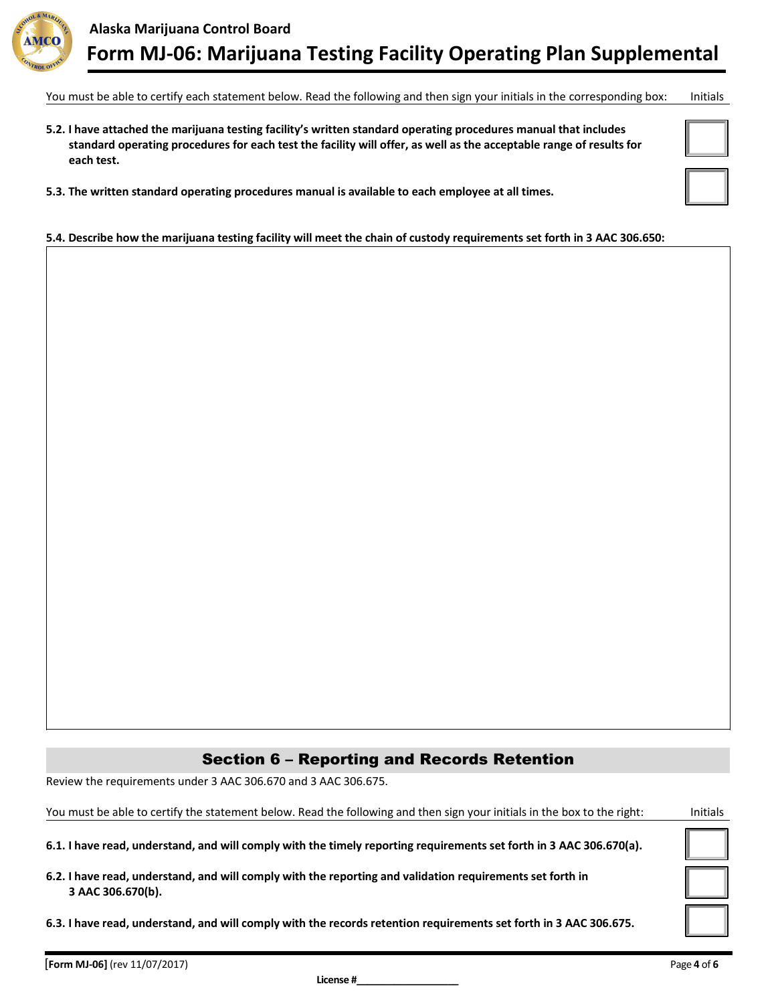

You must be able to certify each statement below. Read the following and then sign your initials in the corresponding box: Initials

- **5.2. I have attached the marijuana testing facility's written standard operating procedures manual that includes standard operating procedures for each test the facility will offer, as well as the acceptable range of results for each test.**
- **5.3. The written standard operating procedures manual is available to each employee at all times.**

# **5.4. Describe how the marijuana testing facility will meet the chain of custody requirements set forth in 3 AAC 306.650:**

## Section 6 – Reporting and Records Retention

Review the requirements under 3 AAC 306.670 and 3 AAC 306.675.

| You must be able to certify the statement below. Read the following and then sign your initials in the box to the right:       | <b>Initials</b> |
|--------------------------------------------------------------------------------------------------------------------------------|-----------------|
| 6.1. I have read, understand, and will comply with the timely reporting requirements set forth in 3 AAC 306.670(a).            |                 |
| 6.2. I have read, understand, and will comply with the reporting and validation requirements set forth in<br>3 AAC 306.670(b). |                 |
| 6.3. I have read, understand, and will comply with the records retention requirements set forth in 3 AAC 306.675.              |                 |
|                                                                                                                                |                 |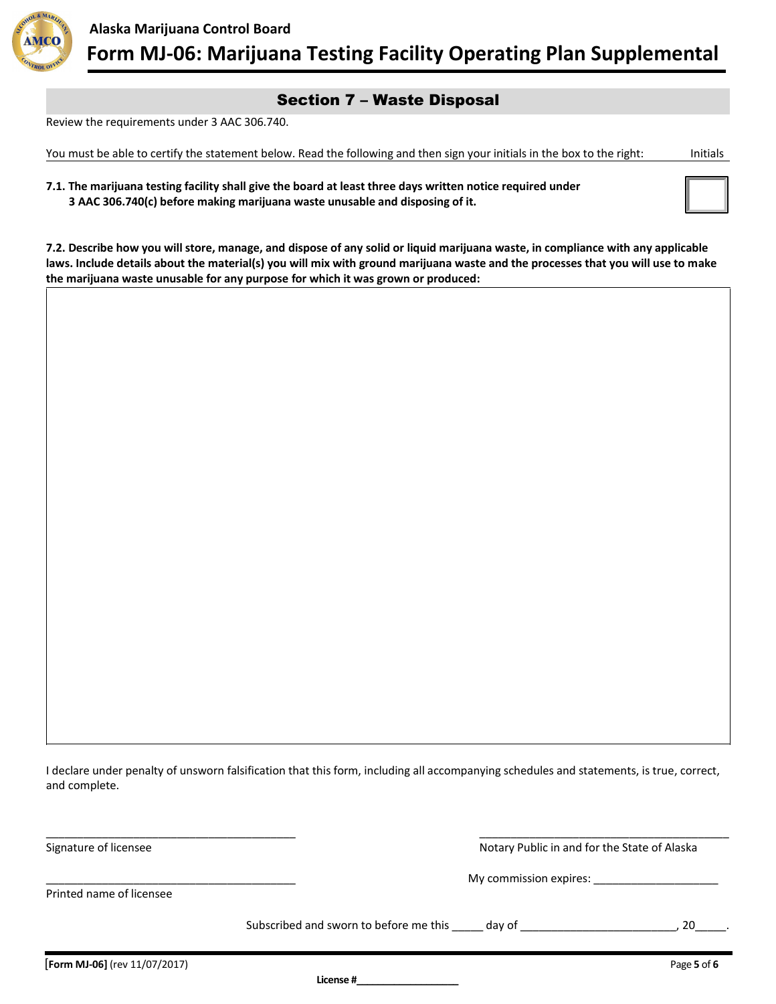

## Section 7 – Waste Disposal

Review the requirements under 3 AAC 306.740.

You must be able to certify the statement below. Read the following and then sign your initials in the box to the right: Initials

| 7.1. The marijuana testing facility shall give the board at least three days written notice required under |  |
|------------------------------------------------------------------------------------------------------------|--|
| 3 AAC 306.740(c) before making marijuana waste unusable and disposing of it.                               |  |

**7.2. Describe how you will store, manage, and dispose of any solid or liquid marijuana waste, in compliance with any applicable laws. Include details about the material(s) you will mix with ground marijuana waste and the processes that you will use to make the marijuana waste unusable for any purpose for which it was grown or produced:**

I declare under penalty of unsworn falsification that this form, including all accompanying schedules and statements, is true, correct, and complete.

\_\_\_\_\_\_\_\_\_\_\_\_\_\_\_\_\_\_\_\_\_\_\_\_\_\_\_\_\_\_\_\_\_\_\_\_\_\_\_\_ \_\_\_\_\_\_\_\_\_\_\_\_\_\_\_\_\_\_\_\_\_\_\_\_\_\_\_\_\_\_\_\_\_\_\_\_\_\_\_\_ Signature of licensee Notary Public in and for the State of Alaska

\_\_\_\_\_\_\_\_\_\_\_\_\_\_\_\_\_\_\_\_\_\_\_\_\_\_\_\_\_\_\_\_\_\_\_\_\_\_\_\_ My commission expires: \_\_\_\_\_\_\_\_\_\_\_\_\_\_\_\_\_\_\_\_

Printed name of licensee

Subscribed and sworn to before me this \_\_\_\_\_ day of \_\_\_\_\_\_\_\_\_\_\_\_\_\_\_\_\_\_\_\_\_\_\_\_\_\_\_\_, 20\_

**License #\_\_\_\_\_\_\_\_\_\_\_\_\_\_\_\_\_\_\_**